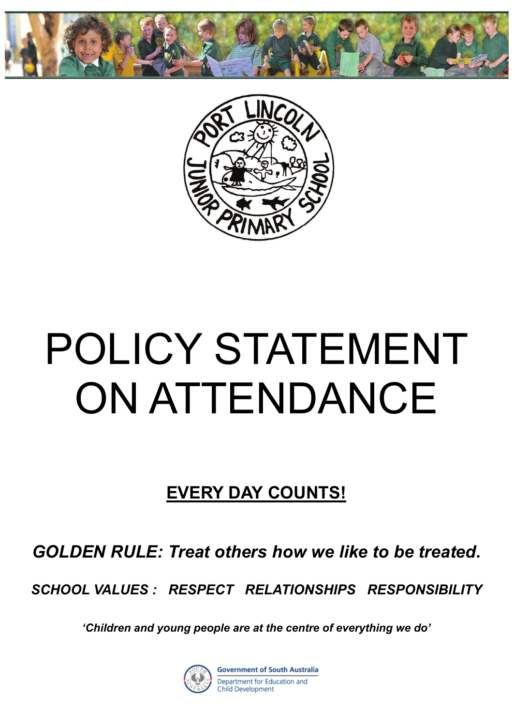



# POLICY STATEMENT ON ATTENDANCE

# **EVERY DAY COUNTS!**

*GOLDEN RULE: Treat others how we like to be treated***.** 

*SCHOOL VALUES : RESPECT RELATIONSHIPS RESPONSIBILITY*

*'Children and young people are at the centre of everything we do'* 

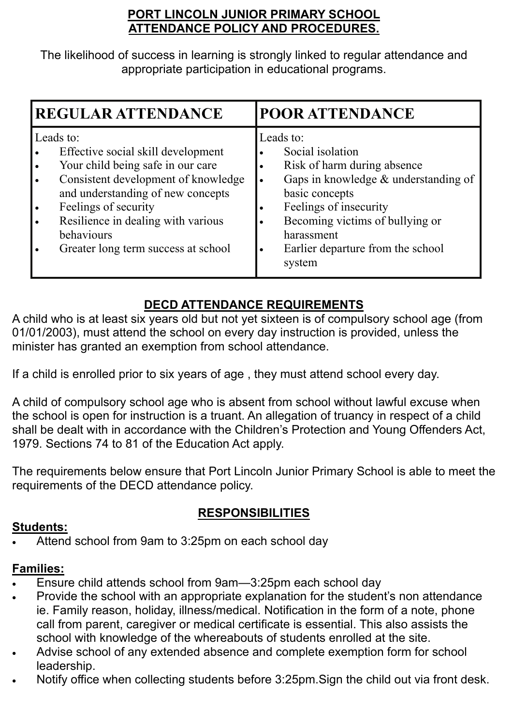#### **PORT LINCOLN JUNIOR PRIMARY SCHOOL ATTENDANCE POLICY AND PROCEDURES.**

The likelihood of success in learning is strongly linked to regular attendance and appropriate participation in educational programs.

| <b>REGULAR ATTENDANCE</b>                                                                                                                                                                                                                                                           | <b>POOR ATTENDANCE</b>                                                                                                                                                                                                                                       |
|-------------------------------------------------------------------------------------------------------------------------------------------------------------------------------------------------------------------------------------------------------------------------------------|--------------------------------------------------------------------------------------------------------------------------------------------------------------------------------------------------------------------------------------------------------------|
| Leads to:<br>Effective social skill development<br>Your child being safe in our care<br>Consistent development of knowledge<br>and understanding of new concepts<br>Feelings of security<br>Resilience in dealing with various<br>behaviours<br>Greater long term success at school | Leads to:<br>Social isolation<br>Risk of harm during absence<br>Gaps in knowledge $&$ understanding of<br>basic concepts<br>Feelings of insecurity<br>٠<br>Becoming victims of bullying or<br>harassment<br>Earlier departure from the school<br>٠<br>system |

## **DECD ATTENDANCE REQUIREMENTS**

A child who is at least six years old but not yet sixteen is of compulsory school age (from 01/01/2003), must attend the school on every day instruction is provided, unless the minister has granted an exemption from school attendance.

If a child is enrolled prior to six years of age , they must attend school every day.

A child of compulsory school age who is absent from school without lawful excuse when the school is open for instruction is a truant. An allegation of truancy in respect of a child shall be dealt with in accordance with the Children's Protection and Young Offenders Act, 1979. Sections 74 to 81 of the Education Act apply.

The requirements below ensure that Port Lincoln Junior Primary School is able to meet the requirements of the DECD attendance policy.

## **RESPONSIBILITIES**

#### **Students:**

Attend school from 9am to 3:25pm on each school day

## **Families:**

- Ensure child attends school from 9am—3:25pm each school day
- Provide the school with an appropriate explanation for the student's non attendance ie. Family reason, holiday, illness/medical. Notification in the form of a note, phone call from parent, caregiver or medical certificate is essential. This also assists the school with knowledge of the whereabouts of students enrolled at the site.
- Advise school of any extended absence and complete exemption form for school leadership.
- Notify office when collecting students before 3:25pm.Sign the child out via front desk.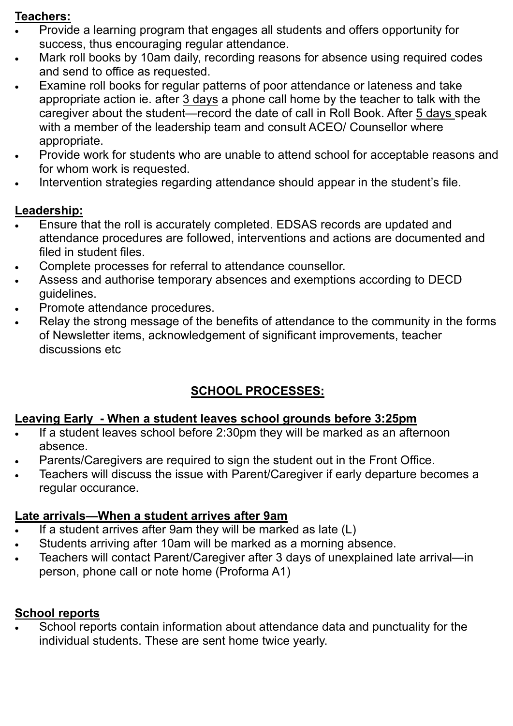#### **Teachers:**

- Provide a learning program that engages all students and offers opportunity for success, thus encouraging regular attendance.
- Mark roll books by 10am daily, recording reasons for absence using required codes and send to office as requested.
- Examine roll books for regular patterns of poor attendance or lateness and take appropriate action ie. after 3 days a phone call home by the teacher to talk with the caregiver about the student—record the date of call in Roll Book. After 5 days speak with a member of the leadership team and consult ACEO/ Counsellor where appropriate.
- Provide work for students who are unable to attend school for acceptable reasons and for whom work is requested.
- Intervention strategies regarding attendance should appear in the student's file.

#### **Leadership:**

- Ensure that the roll is accurately completed. EDSAS records are updated and attendance procedures are followed, interventions and actions are documented and filed in student files.
- Complete processes for referral to attendance counsellor.
- Assess and authorise temporary absences and exemptions according to DECD guidelines.
- Promote attendance procedures.
- Relay the strong message of the benefits of attendance to the community in the forms of Newsletter items, acknowledgement of significant improvements, teacher discussions etc

# **SCHOOL PROCESSES:**

#### **Leaving Early - When a student leaves school grounds before 3:25pm**

- If a student leaves school before 2:30pm they will be marked as an afternoon absence.
- Parents/Caregivers are required to sign the student out in the Front Office.
- Teachers will discuss the issue with Parent/Caregiver if early departure becomes a regular occurance.

## **Late arrivals—When a student arrives after 9am**

- If a student arrives after 9am they will be marked as late (L)
- Students arriving after 10am will be marked as a morning absence.
- Teachers will contact Parent/Caregiver after 3 days of unexplained late arrival—in person, phone call or note home (Proforma A1)

#### **School reports**

 School reports contain information about attendance data and punctuality for the individual students. These are sent home twice yearly.